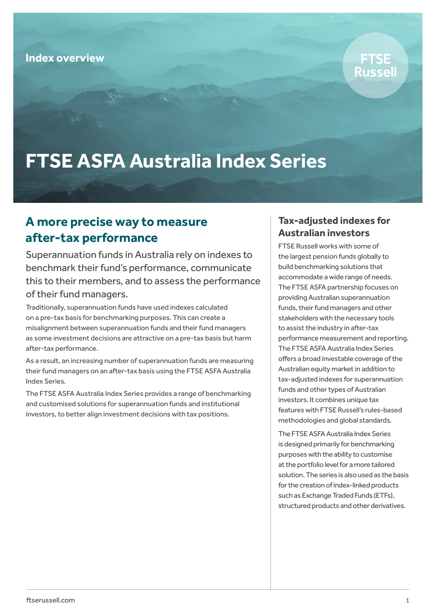

# **FTSE ASFA Australia Index Series**

### **A more precise way to measure after-tax performance**

Superannuation funds in Australia rely on indexes to benchmark their fund's performance, communicate this to their members, and to assess the performance of their fund managers.

Traditionally, superannuation funds have used indexes calculated on a pre-tax basis for benchmarking purposes. This can create a misalignment between superannuation funds and their fund managers as some investment decisions are attractive on a pre-tax basis but harm after-tax performance.

As a result, an increasing number of superannuation funds are measuring their fund managers on an after-tax basis using the FTSE ASFA Australia Index Series.

The FTSE ASFA Australia Index Series provides a range of benchmarking and customised solutions for superannuation funds and institutional investors, to better align investment decisions with tax positions.

#### **Tax-adjusted indexes for Australian investors**

FTSE Russell works with some of the largest pension funds globally to build benchmarking solutions that accommodate a wide range of needs. The FTSE ASFA partnership focuses on providing Australian superannuation funds, their fund managers and other stakeholders with the necessary tools to assist the industry in after-tax performance measurement and reporting. The FTSE ASFA Australia Index Series offers a broad investable coverage of the Australian equity market in addition to tax-adjusted indexes for superannuation funds and other types of Australian investors. It combines unique tax features with FTSE Russell's rules-based methodologies and global standards.

The FTSE ASFA Australia Index Series is designed primarily for benchmarking purposes with the ability to customise at the portfolio level for a more tailored solution. The series is also used as the basis for the creation of index-linked products such as Exchange Traded Funds (ETFs), structured products and other derivatives.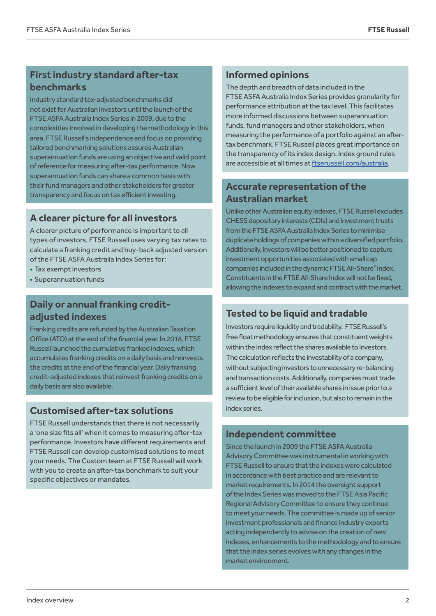#### **First industry standard after-tax benchmarks**

Industry standard tax-adjusted benchmarks did not exist for Australian investors until the launch of the FTSE ASFA Australia Index Series in 2009, due to the complexities involved in developing the methodology in this area. FTSE Russell's independence and focus on providing tailored benchmarking solutions assures Australian superannuation funds are using an objective and valid point of reference for measuring after-tax performance. Now superannuation funds can share a common basis with their fund managers and other stakeholders for greater transparency and focus on tax efficient investing.

#### **A clearer picture for all investors**

A clearer picture of performance is important to all types of investors. FTSE Russell uses varying tax rates to calculate a franking credit and buy-back adjusted version of the FTSE ASFA Australia Index Series for:

- Tax exempt investors
- Superannuation funds

#### **Daily or annual franking creditadjusted indexes**

Franking credits are refunded by the Australian Taxation Office (ATO) at the end of the financial year. In 2018, FTSE Russell launched the cumulative franked indexes, which accumulates franking credits on a daily basis and reinvests the credits at the end of the financial year. Daily franking credit-adjusted indexes that reinvest franking credits on a daily basis are also available.

#### **Customised after-tax solutions**

FTSE Russell understands that there is not necessarily a 'one size fits all' when it comes to measuring after-tax performance. Investors have different requirements and FTSE Russell can develop customised solutions to meet your needs. The Custom team at FTSE Russell will work with you to create an after-tax benchmark to suit your specific objectives or mandates.

#### **Informed opinions**

The depth and breadth of data included in the FTSE ASFA Australia Index Series provides granularity for performance attribution at the tax level. This facilitates more informed discussions between superannuation funds, fund managers and other stakeholders, when measuring the performance of a portfolio against an aftertax benchmark. FTSE Russell places great importance on the transparency of its index design. Index ground rules are accessible at all times at ftserussell.com/australia.

### **Accurate representation of the Australian market**

Unlike other Australian equity indexes, FTSE Russell excludes CHESS depositary interests (CDIs) and investment trusts from the FTSE ASFA Australia Index Series to minimise duplicate holdings of companies within a diversified portfolio. Additionally, investors will be better positioned to capture investment opportunities associated with small cap companies included in the dynamic FTSE All-Share® Index. Constituents in the FTSE All-Share Index will not be fixed, allowing the indexes to expand and contract with the market.

#### **Tested to be liquid and tradable**

Investors require liquidity and tradability. FTSE Russell's free float methodology ensures that constituent weights within the index reflect the shares available to investors. The calculation reflects the investability of a company, without subjecting investors to unnecessary re-balancing and transaction costs. Additionally, companies must trade a sufficient level of their available shares in issue prior to a review to be eligible for inclusion, but also to remain in the index series.

#### **Independent committee**

Since the launch in 2009 the FTSE ASFA Australia Advisory Committee was instrumental in working with FTSE Russell to ensure that the indexes were calculated in accordance with best practice and are relevant to market requirements. In 2014 the oversight support of the Index Series was moved to the FTSE Asia Pacific Regional Advisory Committee to ensure they continue to meet your needs. The committee is made up of senior investment professionals and finance industry experts acting independently to advise on the creation of new indexes, enhancements to the methodology and to ensure that the index series evolves with any changes in the market environment.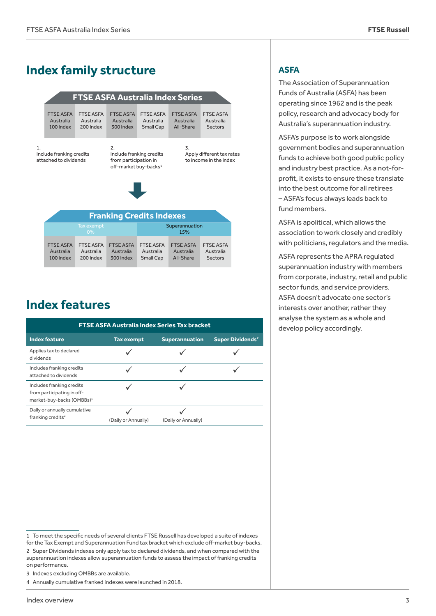## **Index family structure**

#### **Franking Credits Indexes** FTSE ASFA Australia 100 Index FTSE ASFA Australia 200 Index FTSE ASFA Australia 300 Index FTSE ASFA Australia Small Cap FTSE ASFA Australia All-Share FTSE ASFA Australia Sectors 2. Include franking credits from participation in off-market buy-backs<sup>1</sup> 3. Apply di�erent tax rates to income in the index 1. Include franking credits attached to dividends **FTSE ASFA Australia Index Series** Superannuation 15%

| $0\%$                  |                        |                        | 15%                                                                         |                        |                                          |
|------------------------|------------------------|------------------------|-----------------------------------------------------------------------------|------------------------|------------------------------------------|
| Australia<br>100 Index | Australia<br>200 Index | Australia<br>300 Index | FTSE ASFA FTSE ASFA FTSE ASFA FTSE ASFA FTSE ASFA<br>Australia<br>Small Cap | Australia<br>All-Share | <b>FTSE ASFA</b><br>Australia<br>Sectors |

### **Index features**

| <b>FTSE ASFA Australia Index Series Tax bracket</b>                                              |                     |                       |                                    |  |  |  |
|--------------------------------------------------------------------------------------------------|---------------------|-----------------------|------------------------------------|--|--|--|
| <b>Index feature</b>                                                                             | <b>Tax exempt</b>   | <b>Superannuation</b> | <b>Super Dividends<sup>2</sup></b> |  |  |  |
| Applies tax to declared<br>dividends                                                             |                     |                       |                                    |  |  |  |
| Includes franking credits<br>attached to dividends                                               |                     |                       |                                    |  |  |  |
| Includes franking credits<br>from participating in off-<br>market-buy-backs (OMBBs) <sup>3</sup> |                     |                       |                                    |  |  |  |
| Daily or annually cumulative<br>franking credits <sup>4</sup>                                    | (Daily or Annually) | (Daily or Annually)   |                                    |  |  |  |

#### **ASFA**

The Association of Superannuation Funds of Australia (ASFA) has been operating since 1962 and is the peak policy, research and advocacy body for Australia's superannuation industry.

ASFA's purpose is to work alongside government bodies and superannuation funds to achieve both good public policy and industry best practice. As a not-forprofit, it exists to ensure these translate into the best outcome for all retirees – ASFA's focus always leads back to fund members.

ASFA is apolitical, which allows the association to work closely and credibly with politicians, regulators and the media.

ASFA represents the APRA regulated superannuation industry with members from corporate, industry, retail and public sector funds, and service providers. ASFA doesn't advocate one sector's interests over another, rather they analyse the system as a whole and develop policy accordingly.

<sup>1</sup> To meet the specific needs of several clients FTSE Russell has developed a suite of indexes for the Tax Exempt and Superannuation Fund tax bracket which exclude off-market buy-backs. 2 Super Dividends indexes only apply tax to declared dividends, and when compared with the superannuation indexes allow superannuation funds to assess the impact of franking credits on performance.

<sup>3</sup> Indexes excluding OMBBs are available.

<sup>4</sup> Annually cumulative franked indexes were launched in 2018.